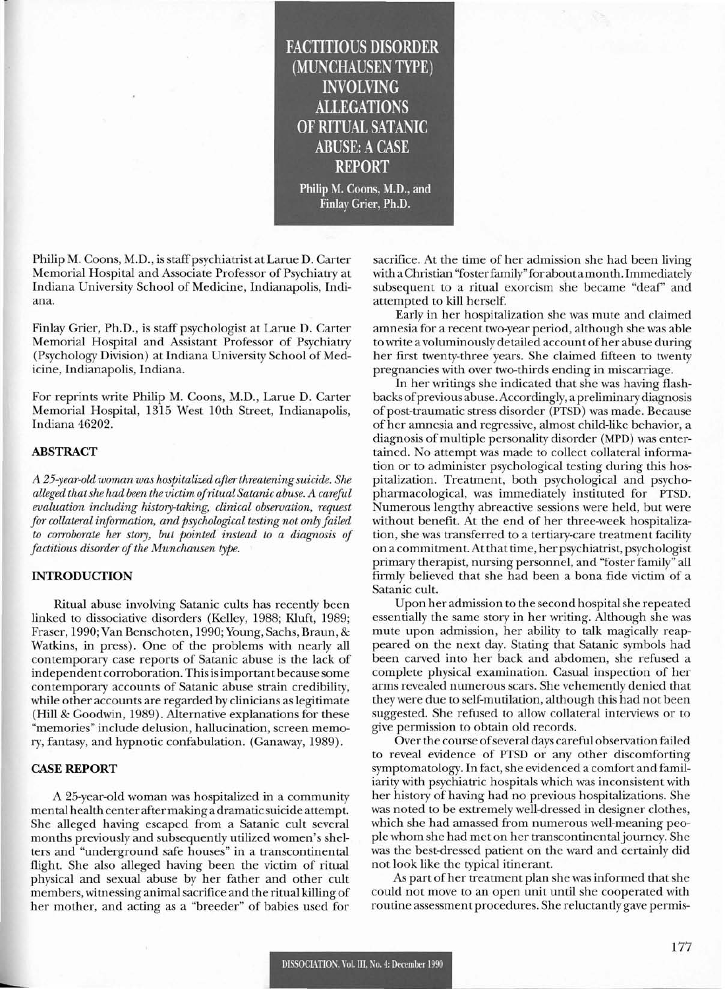FACTITIOUS DISORDER (MUNCHAUSEN TYPE) INVOLVING ALLEGATIONS OF RITUAL SATANIC **ABUSE: A CASE** REPORT

Philip M. Coons, M.D., and Finlay Grier, Ph.D.

Philip M. Coons, M.D., is staff psychiatrist at Larue D. Carter Memorial Hospital and Associate Professor of Psychiatry at Indiana University School of Medicine, Indianapolis, Indiana.

Finlay Grier, Ph.D., is staff psychologist at Larue D. Carter Memorial Hospital and Assistant Professor of Psychiatry (Psychology Division) at Indiana University School of Medicine, Indianapolis, Indiana.

For reprints write Philip M. Coons, M.D., Larue D. Carter Memorial Hospital, 1315 West lOth Street, Indianapolis, Indiana 46202.

# ABSTRACT

*A 25-year-old woman was hospitalized afterthreatening suicide. She alleged thatshe had been the victim ofritual Satanic abuse. A careful evaluation including history-taking, clinical observation, request for collateral information, and psychological testing not only failed to corroborate her story, but pointed instead to a diagnosis of*  $factions$  *disorder of the Munchausen type.* 

# INTRODUCTION

Ritual abuse involving Satanic cults has recently been linked to dissociative disorders (Kelley, 1988; KIuft, 1989; Fraser, 1990; Van Benschoten, 1990; Young, Sachs, Braun, & Watkins, in press). One of the problems with nearly all contemporary case reports of Satanic abuse is the lack of independent corroboration. Thisisimportantbecause some contemporary accounts of Satanic abuse strain credibility, while other accounts are regarded by clinicians as legitimate (Hill & Goodwin, 1989). Alternative explanations for these "memories" include delusion, hallucination, screen memory, fantasy, and hypnotic confabulation. (Ganaway, 1989).

# CASE REPORT

---

A 25-year-old woman was hospitalized in a community mental health center aftermaking a dramatic suicide attempt. She alleged having escaped from a Satanic cult several months previously and subsequently utilized women's shelters and "underground safe houses" in a transcontinental flight. She also alleged having been the victim of ritual physical and sexual abuse by her father and other cult members, witnessing animal sacrifice and the ritual killing of her mother, and acting as a "breeder" of babies used for

sacrifice. At the time of her admission she had been living with a Christian "foster family" for about a month. Immediately subsequent to a ritual exorcism she became "deaf' and attempted to kill herself.

Early in her hospitalization she was mute and claimed amnesia for a recent two-year period, although she was able to write a voluminously detailed account ofher abuse during her first twenty-three years. She claimed fifteen to twenty pregnancies with over two-thirds ending in miscarriage.

In her writings she indicated that she was having flashbacks ofprevious abuse. Accordingly, a preliminary diagnosis of post-traumatic stress disorder (PTSD) was made. Because of her amnesia and regressive, almost child-like behavior, a diagnosis of multiple personality disorder (MPD) was entertained. No attempt was made to collect collateral information or to administer psychological testing during this hospitalization. Treatment, both psychological and psychopharmacological, was immediately instituted for PTSD. Numerous lengthy abreactive sessions were held, but were without benefit. At the end of her three-week hospitalization, she was transferred to a tertiary-care treatment facility on a commitment. At that time, her psychiatrist, psychologist primary therapist, nursing personnel, and "foster family" all firmly believed that she had been a bona fide victim of a Satanic cult.

Upon her admission to the second hospital she repeated essentially the same story in her writing. Although she was mute upon admission, her ability to talk magically reappeared on the next day. Stating that Satanic symbols had been carved into her back and abdomen, she refused a complete physical examination. Casual inspection of her arms revealed numerous scars. She vehemently denied that they were due to self-mutilation, although this had not been suggested. She refused to allow collateral interviews or to give permission to obtain old records.

Over the course of several days careful observation failed to reveal evidence of PTSD or any other discomforting symptomatology. In fact, she evidenced a comfort and familiarity with psychiatric hospitals which was inconsistent with her history of having had no previous hospitalizations. She was noted to be extremely well-dressed in designer clothes, which she had amassed from numerous well-meaning people whom she had met on her transcontinentaljourney. She was the best-dressed patient on the ward and certainly did not look like the typical itinerant.

As part of her treatment plan she was informed that she could not move to an open unit until she cooperated with routine assessment procedures. She reluctantly gave permis